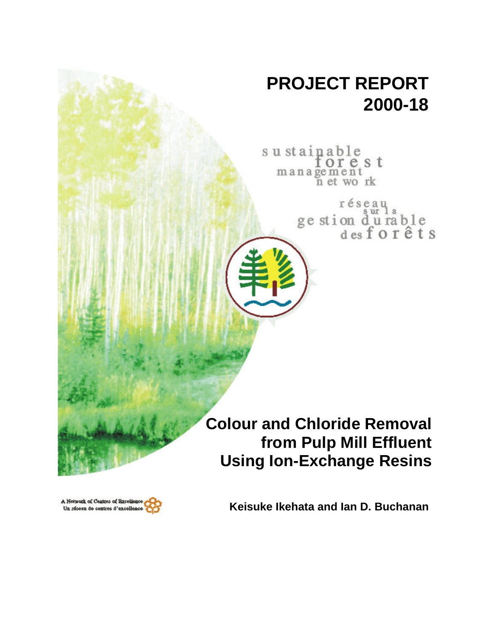## **PROJECT REPORT 2000-18**

sustainable orest management<br>n et work

> réseau ge stion du rable<br>desforêts

**Colour and Chloride Removal from Pulp Mill Effluent Using Ion-Exchange Resins**



**Keisuke Ikehata and Ian D. Buchanan**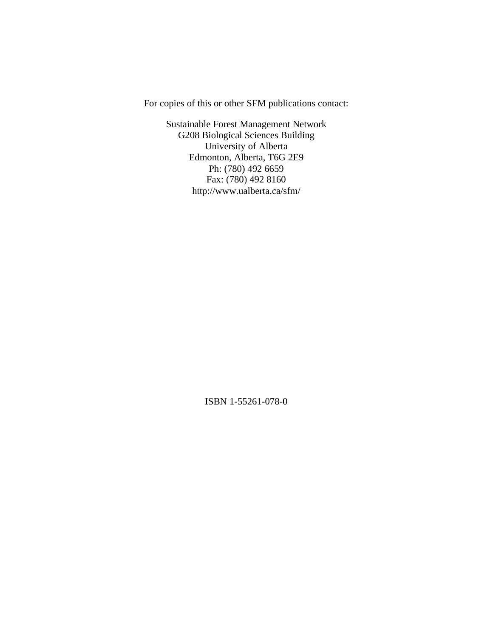For copies of this or other SFM publications contact:

Sustainable Forest Management Network G208 Biological Sciences Building University of Alberta Edmonton, Alberta, T6G 2E9 Ph: (780) 492 6659 Fax: (780) 492 8160 http://www.ualberta.ca/sfm/

ISBN 1-55261-078-0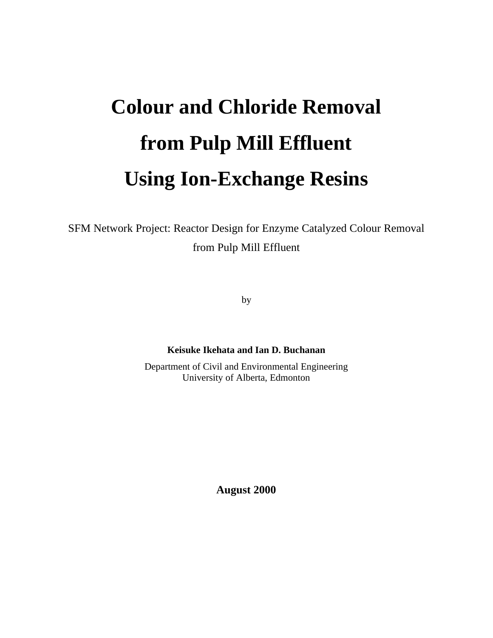# **Colour and Chloride Removal from Pulp Mill Effluent Using Ion-Exchange Resins**

SFM Network Project: Reactor Design for Enzyme Catalyzed Colour Removal from Pulp Mill Effluent

by

**Keisuke Ikehata and Ian D. Buchanan**

Department of Civil and Environmental Engineering University of Alberta, Edmonton

**August 2000**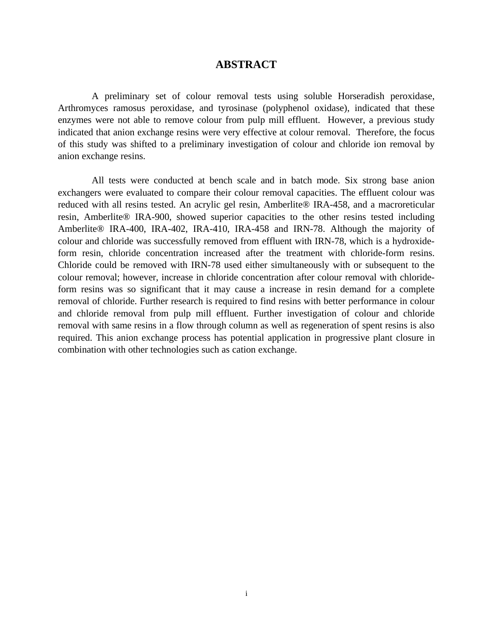#### **ABSTRACT**

A preliminary set of colour removal tests using soluble Horseradish peroxidase, Arthromyces ramosus peroxidase, and tyrosinase (polyphenol oxidase), indicated that these enzymes were not able to remove colour from pulp mill effluent. However, a previous study indicated that anion exchange resins were very effective at colour removal. Therefore, the focus of this study was shifted to a preliminary investigation of colour and chloride ion removal by anion exchange resins.

All tests were conducted at bench scale and in batch mode. Six strong base anion exchangers were evaluated to compare their colour removal capacities. The effluent colour was reduced with all resins tested. An acrylic gel resin, Amberlite® IRA-458, and a macroreticular resin, Amberlite® IRA-900, showed superior capacities to the other resins tested including Amberlite® IRA-400, IRA-402, IRA-410, IRA-458 and IRN-78. Although the majority of colour and chloride was successfully removed from effluent with IRN-78, which is a hydroxideform resin, chloride concentration increased after the treatment with chloride-form resins. Chloride could be removed with IRN-78 used either simultaneously with or subsequent to the colour removal; however, increase in chloride concentration after colour removal with chlorideform resins was so significant that it may cause a increase in resin demand for a complete removal of chloride. Further research is required to find resins with better performance in colour and chloride removal from pulp mill effluent. Further investigation of colour and chloride removal with same resins in a flow through column as well as regeneration of spent resins is also required. This anion exchange process has potential application in progressive plant closure in combination with other technologies such as cation exchange.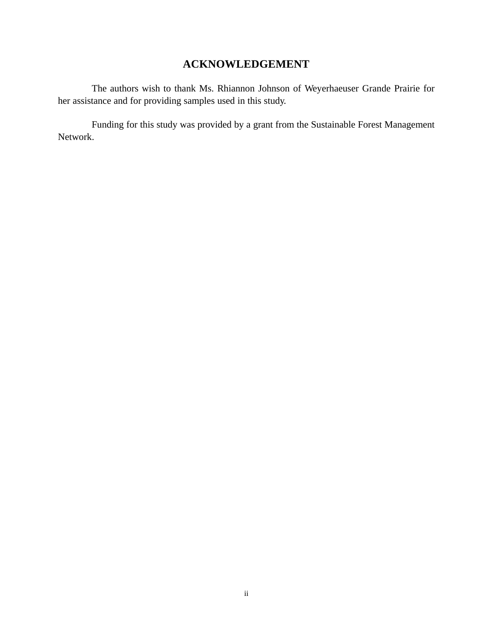### **ACKNOWLEDGEMENT**

The authors wish to thank Ms. Rhiannon Johnson of Weyerhaeuser Grande Prairie for her assistance and for providing samples used in this study.

Funding for this study was provided by a grant from the Sustainable Forest Management Network.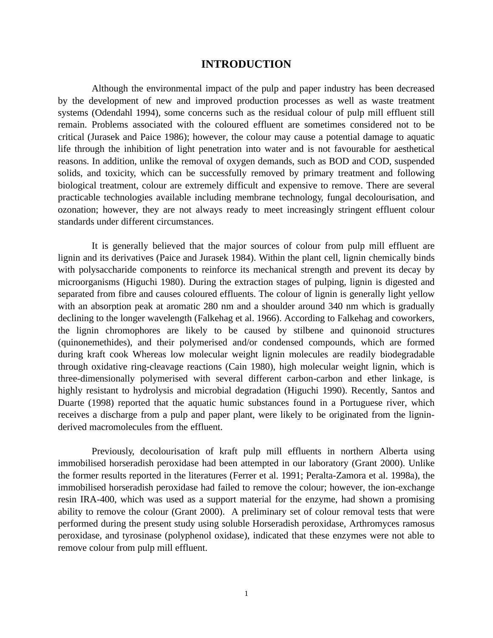#### **INTRODUCTION**

Although the environmental impact of the pulp and paper industry has been decreased by the development of new and improved production processes as well as waste treatment systems (Odendahl 1994), some concerns such as the residual colour of pulp mill effluent still remain. Problems associated with the coloured effluent are sometimes considered not to be critical (Jurasek and Paice 1986); however, the colour may cause a potential damage to aquatic life through the inhibition of light penetration into water and is not favourable for aesthetical reasons. In addition, unlike the removal of oxygen demands, such as BOD and COD, suspended solids, and toxicity, which can be successfully removed by primary treatment and following biological treatment, colour are extremely difficult and expensive to remove. There are several practicable technologies available including membrane technology, fungal decolourisation, and ozonation; however, they are not always ready to meet increasingly stringent effluent colour standards under different circumstances.

It is generally believed that the major sources of colour from pulp mill effluent are lignin and its derivatives (Paice and Jurasek 1984). Within the plant cell, lignin chemically binds with polysaccharide components to reinforce its mechanical strength and prevent its decay by microorganisms (Higuchi 1980). During the extraction stages of pulping, lignin is digested and separated from fibre and causes coloured effluents. The colour of lignin is generally light yellow with an absorption peak at aromatic 280 nm and a shoulder around 340 nm which is gradually declining to the longer wavelength (Falkehag et al. 1966). According to Falkehag and coworkers, the lignin chromophores are likely to be caused by stilbene and quinonoid structures (quinonemethides), and their polymerised and/or condensed compounds, which are formed during kraft cook Whereas low molecular weight lignin molecules are readily biodegradable through oxidative ring-cleavage reactions (Cain 1980), high molecular weight lignin, which is three-dimensionally polymerised with several different carbon-carbon and ether linkage, is highly resistant to hydrolysis and microbial degradation (Higuchi 1990). Recently, Santos and Duarte (1998) reported that the aquatic humic substances found in a Portuguese river, which receives a discharge from a pulp and paper plant, were likely to be originated from the ligninderived macromolecules from the effluent.

Previously, decolourisation of kraft pulp mill effluents in northern Alberta using immobilised horseradish peroxidase had been attempted in our laboratory (Grant 2000). Unlike the former results reported in the literatures (Ferrer et al. 1991; Peralta-Zamora et al. 1998a), the immobilised horseradish peroxidase had failed to remove the colour; however, the ion-exchange resin IRA-400, which was used as a support material for the enzyme, had shown a promising ability to remove the colour (Grant 2000). A preliminary set of colour removal tests that were performed during the present study using soluble Horseradish peroxidase, Arthromyces ramosus peroxidase, and tyrosinase (polyphenol oxidase), indicated that these enzymes were not able to remove colour from pulp mill effluent.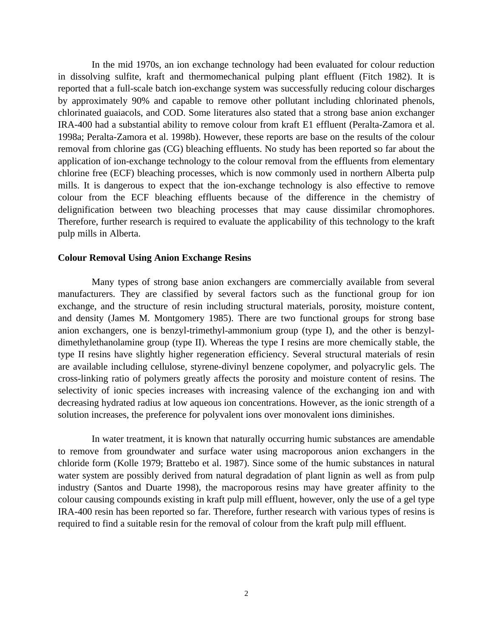In the mid 1970s, an ion exchange technology had been evaluated for colour reduction in dissolving sulfite, kraft and thermomechanical pulping plant effluent (Fitch 1982). It is reported that a full-scale batch ion-exchange system was successfully reducing colour discharges by approximately 90% and capable to remove other pollutant including chlorinated phenols, chlorinated guaiacols, and COD. Some literatures also stated that a strong base anion exchanger IRA-400 had a substantial ability to remove colour from kraft E1 effluent (Peralta-Zamora et al. 1998a; Peralta-Zamora et al. 1998b). However, these reports are base on the results of the colour removal from chlorine gas (CG) bleaching effluents. No study has been reported so far about the application of ion-exchange technology to the colour removal from the effluents from elementary chlorine free (ECF) bleaching processes, which is now commonly used in northern Alberta pulp mills. It is dangerous to expect that the ion-exchange technology is also effective to remove colour from the ECF bleaching effluents because of the difference in the chemistry of delignification between two bleaching processes that may cause dissimilar chromophores. Therefore, further research is required to evaluate the applicability of this technology to the kraft pulp mills in Alberta.

#### **Colour Removal Using Anion Exchange Resins**

Many types of strong base anion exchangers are commercially available from several manufacturers. They are classified by several factors such as the functional group for ion exchange, and the structure of resin including structural materials, porosity, moisture content, and density (James M. Montgomery 1985). There are two functional groups for strong base anion exchangers, one is benzyl-trimethyl-ammonium group (type I), and the other is benzyldimethylethanolamine group (type II). Whereas the type I resins are more chemically stable, the type II resins have slightly higher regeneration efficiency. Several structural materials of resin are available including cellulose, styrene-divinyl benzene copolymer, and polyacrylic gels. The cross-linking ratio of polymers greatly affects the porosity and moisture content of resins. The selectivity of ionic species increases with increasing valence of the exchanging ion and with decreasing hydrated radius at low aqueous ion concentrations. However, as the ionic strength of a solution increases, the preference for polyvalent ions over monovalent ions diminishes.

In water treatment, it is known that naturally occurring humic substances are amendable to remove from groundwater and surface water using macroporous anion exchangers in the chloride form (Kolle 1979; Brattebo et al. 1987). Since some of the humic substances in natural water system are possibly derived from natural degradation of plant lignin as well as from pulp industry (Santos and Duarte 1998), the macroporous resins may have greater affinity to the colour causing compounds existing in kraft pulp mill effluent, however, only the use of a gel type IRA-400 resin has been reported so far. Therefore, further research with various types of resins is required to find a suitable resin for the removal of colour from the kraft pulp mill effluent.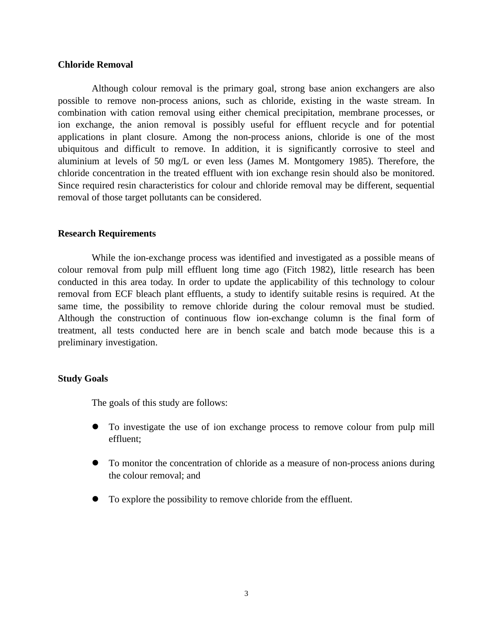#### **Chloride Removal**

Although colour removal is the primary goal, strong base anion exchangers are also possible to remove non-process anions, such as chloride, existing in the waste stream. In combination with cation removal using either chemical precipitation, membrane processes, or ion exchange, the anion removal is possibly useful for effluent recycle and for potential applications in plant closure. Among the non-process anions, chloride is one of the most ubiquitous and difficult to remove. In addition, it is significantly corrosive to steel and aluminium at levels of 50 mg/L or even less (James M. Montgomery 1985). Therefore, the chloride concentration in the treated effluent with ion exchange resin should also be monitored. Since required resin characteristics for colour and chloride removal may be different, sequential removal of those target pollutants can be considered.

#### **Research Requirements**

While the ion-exchange process was identified and investigated as a possible means of colour removal from pulp mill effluent long time ago (Fitch 1982), little research has been conducted in this area today. In order to update the applicability of this technology to colour removal from ECF bleach plant effluents, a study to identify suitable resins is required. At the same time, the possibility to remove chloride during the colour removal must be studied. Although the construction of continuous flow ion-exchange column is the final form of treatment, all tests conducted here are in bench scale and batch mode because this is a preliminary investigation.

#### **Study Goals**

The goals of this study are follows:

- l To investigate the use of ion exchange process to remove colour from pulp mill effluent;
- To monitor the concentration of chloride as a measure of non-process anions during the colour removal; and
- To explore the possibility to remove chloride from the effluent.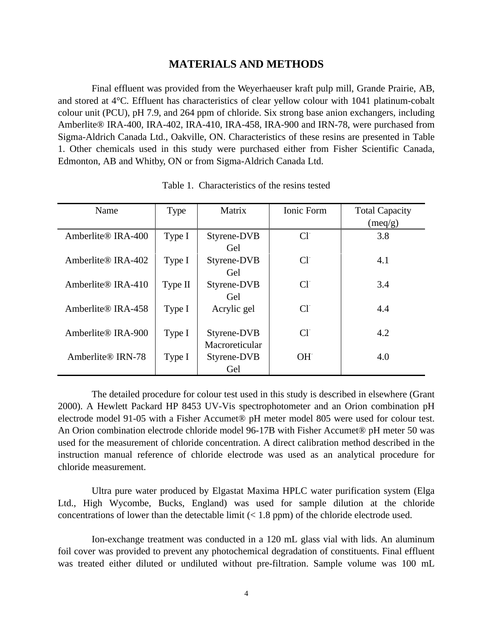#### **MATERIALS AND METHODS**

Final effluent was provided from the Weyerhaeuser kraft pulp mill, Grande Prairie, AB, and stored at 4°C. Effluent has characteristics of clear yellow colour with 1041 platinum-cobalt colour unit (PCU), pH 7.9, and 264 ppm of chloride. Six strong base anion exchangers, including Amberlite® IRA-400, IRA-402, IRA-410, IRA-458, IRA-900 and IRN-78, were purchased from Sigma-Aldrich Canada Ltd., Oakville, ON. Characteristics of these resins are presented in Table 1. Other chemicals used in this study were purchased either from Fisher Scientific Canada, Edmonton, AB and Whitby, ON or from Sigma-Aldrich Canada Ltd.

| Name                           | Type    | Matrix                        | Ionic Form | <b>Total Capacity</b><br>(meq/g) |
|--------------------------------|---------|-------------------------------|------------|----------------------------------|
| Amberlite® IRA-400             | Type I  | Styrene-DVB<br>Gel            | $Cl-$      | 3.8                              |
| Amberlite <sup>®</sup> IRA-402 | Type I  | Styrene-DVB<br>Gel            | $Cl-$      | 4.1                              |
| Amberlite® IRA-410             | Type II | Styrene-DVB<br>Gel            | $Cl-$      | 3.4                              |
| Amberlite® IRA-458             | Type I  | Acrylic gel                   | $Cl-$      | 4.4                              |
| Amberlite® IRA-900             | Type I  | Styrene-DVB<br>Macroreticular | $Cl-$      | 4.2                              |
| Amberlite® IRN-78              | Type I  | Styrene-DVB<br>Gel            | $OH^-$     | 4.0                              |

Table 1. Characteristics of the resins tested

The detailed procedure for colour test used in this study is described in elsewhere (Grant 2000). A Hewlett Packard HP 8453 UV-Vis spectrophotometer and an Orion combination pH electrode model 91-05 with a Fisher Accumet® pH meter model 805 were used for colour test. An Orion combination electrode chloride model 96-17B with Fisher Accumet® pH meter 50 was used for the measurement of chloride concentration. A direct calibration method described in the instruction manual reference of chloride electrode was used as an analytical procedure for chloride measurement.

Ultra pure water produced by Elgastat Maxima HPLC water purification system (Elga Ltd., High Wycombe, Bucks, England) was used for sample dilution at the chloride concentrations of lower than the detectable limit (< 1.8 ppm) of the chloride electrode used.

Ion-exchange treatment was conducted in a 120 mL glass vial with lids. An aluminum foil cover was provided to prevent any photochemical degradation of constituents. Final effluent was treated either diluted or undiluted without pre-filtration. Sample volume was 100 mL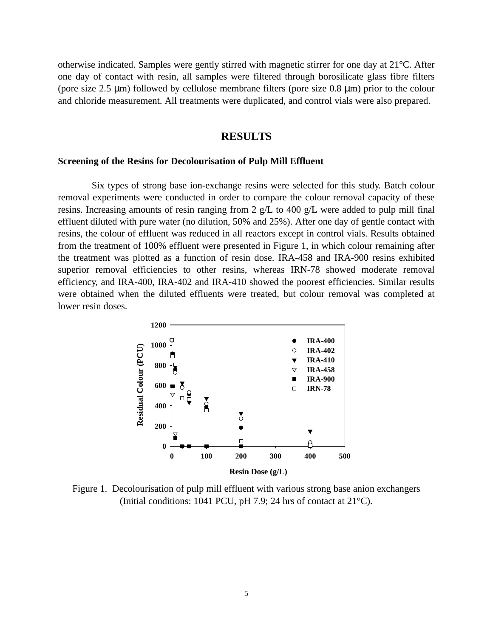otherwise indicated. Samples were gently stirred with magnetic stirrer for one day at 21°C. After one day of contact with resin, all samples were filtered through borosilicate glass fibre filters (pore size 2.5 μm) followed by cellulose membrane filters (pore size 0.8 μm) prior to the colour and chloride measurement. All treatments were duplicated, and control vials were also prepared.

#### **RESULTS**

#### **Screening of the Resins for Decolourisation of Pulp Mill Effluent**

Six types of strong base ion-exchange resins were selected for this study. Batch colour removal experiments were conducted in order to compare the colour removal capacity of these resins. Increasing amounts of resin ranging from 2  $g/L$  to 400  $g/L$  were added to pulp mill final effluent diluted with pure water (no dilution, 50% and 25%). After one day of gentle contact with resins, the colour of effluent was reduced in all reactors except in control vials. Results obtained from the treatment of 100% effluent were presented in Figure 1, in which colour remaining after the treatment was plotted as a function of resin dose. IRA-458 and IRA-900 resins exhibited superior removal efficiencies to other resins, whereas IRN-78 showed moderate removal efficiency, and IRA-400, IRA-402 and IRA-410 showed the poorest efficiencies. Similar results were obtained when the diluted effluents were treated, but colour removal was completed at lower resin doses.



Figure 1. Decolourisation of pulp mill effluent with various strong base anion exchangers (Initial conditions: 1041 PCU, pH 7.9; 24 hrs of contact at 21°C).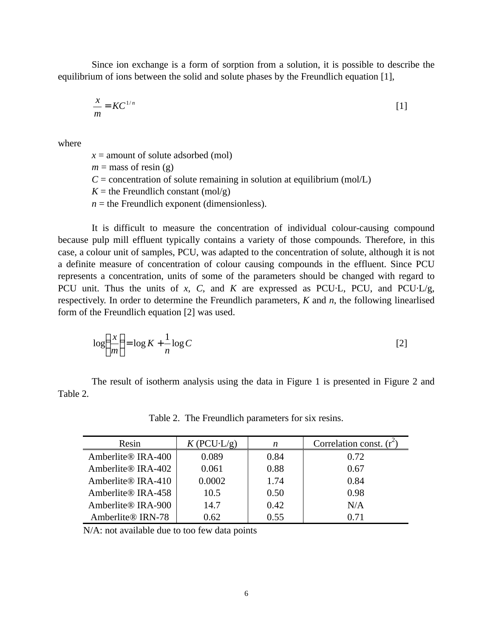Since ion exchange is a form of sorption from a solution, it is possible to describe the equilibrium of ions between the solid and solute phases by the Freundlich equation [1],

$$
\frac{x}{m} = KC^{1/n} \tag{1}
$$

where

 $x =$  amount of solute adsorbed (mol)  $m =$  mass of resin (g)  $C =$  concentration of solute remaining in solution at equilibrium (mol/L)  $K =$  the Freundlich constant (mol/g)  $n =$  the Freundlich exponent (dimensionless).

It is difficult to measure the concentration of individual colour-causing compound because pulp mill effluent typically contains a variety of those compounds. Therefore, in this case, a colour unit of samples, PCU, was adapted to the concentration of solute, although it is not a definite measure of concentration of colour causing compounds in the effluent. Since PCU represents a concentration, units of some of the parameters should be changed with regard to PCU unit. Thus the units of *x*, *C*, and *K* are expressed as PCU·L, PCU, and PCU·L/g, respectively. In order to determine the Freundlich parameters, *K* and *n*, the following linearlised form of the Freundlich equation [2] was used.

$$
\log\left(\frac{x}{m}\right) = \log K + \frac{1}{n}\log C\tag{2}
$$

The result of isotherm analysis using the data in Figure 1 is presented in Figure 2 and Table 2.

| Resin                          | $K$ (PCU·L/g) | n    | Correlation const. $(r^2)$ |
|--------------------------------|---------------|------|----------------------------|
| Amberlite <sup>®</sup> IRA-400 | 0.089         | 0.84 | 0.72                       |
| Amberlite® IRA-402             | 0.061         | 0.88 | 0.67                       |
| Amberlite <sup>®</sup> IRA-410 | 0.0002        | 1.74 | 0.84                       |
| Amberlite® IRA-458             | 10.5          | 0.50 | 0.98                       |
| Amberlite® IRA-900             | 14.7          | 0.42 | N/A                        |
| Amberlite® IRN-78              | 0.62          | 0.55 | 0.71                       |

Table 2. The Freundlich parameters for six resins.

N/A: not available due to too few data points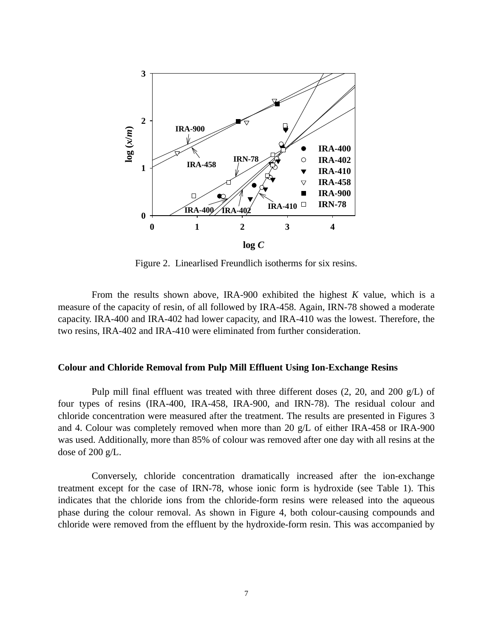

Figure 2. Linearlised Freundlich isotherms for six resins.

From the results shown above, IRA-900 exhibited the highest *K* value, which is a measure of the capacity of resin, of all followed by IRA-458. Again, IRN-78 showed a moderate capacity. IRA-400 and IRA-402 had lower capacity, and IRA-410 was the lowest. Therefore, the two resins, IRA-402 and IRA-410 were eliminated from further consideration.

#### **Colour and Chloride Removal from Pulp Mill Effluent Using Ion-Exchange Resins**

Pulp mill final effluent was treated with three different doses  $(2, 20, 20, 20)$  g/L) of four types of resins (IRA-400, IRA-458, IRA-900, and IRN-78). The residual colour and chloride concentration were measured after the treatment. The results are presented in Figures 3 and 4. Colour was completely removed when more than 20 g/L of either IRA-458 or IRA-900 was used. Additionally, more than 85% of colour was removed after one day with all resins at the dose of 200 g/L.

Conversely, chloride concentration dramatically increased after the ion-exchange treatment except for the case of IRN-78, whose ionic form is hydroxide (see Table 1). This indicates that the chloride ions from the chloride-form resins were released into the aqueous phase during the colour removal. As shown in Figure 4, both colour-causing compounds and chloride were removed from the effluent by the hydroxide-form resin. This was accompanied by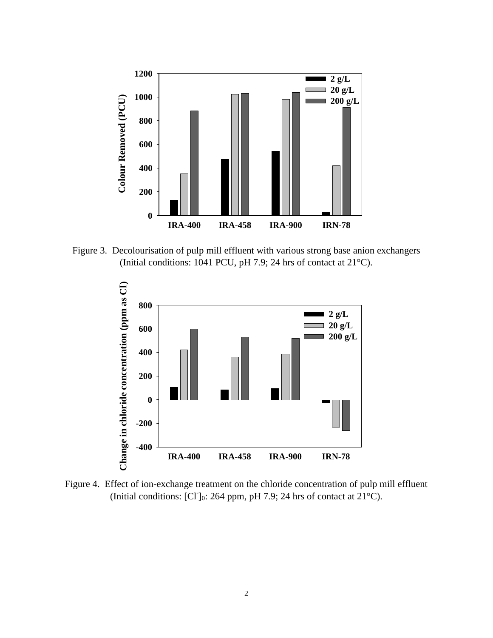

Figure 3. Decolourisation of pulp mill effluent with various strong base anion exchangers (Initial conditions: 1041 PCU, pH 7.9; 24 hrs of contact at 21°C).



Figure 4. Effect of ion-exchange treatment on the chloride concentration of pulp mill effluent (Initial conditions: [Cl]<sub>0</sub>: 264 ppm, pH 7.9; 24 hrs of contact at  $21^{\circ}$ C).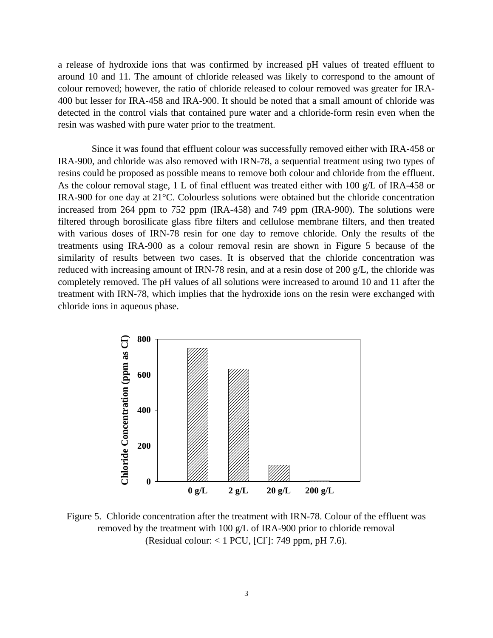a release of hydroxide ions that was confirmed by increased pH values of treated effluent to around 10 and 11. The amount of chloride released was likely to correspond to the amount of colour removed; however, the ratio of chloride released to colour removed was greater for IRA-400 but lesser for IRA-458 and IRA-900. It should be noted that a small amount of chloride was detected in the control vials that contained pure water and a chloride-form resin even when the resin was washed with pure water prior to the treatment.

Since it was found that effluent colour was successfully removed either with IRA-458 or IRA-900, and chloride was also removed with IRN-78, a sequential treatment using two types of resins could be proposed as possible means to remove both colour and chloride from the effluent. As the colour removal stage, 1 L of final effluent was treated either with 100 g/L of IRA-458 or IRA-900 for one day at 21°C. Colourless solutions were obtained but the chloride concentration increased from 264 ppm to 752 ppm (IRA-458) and 749 ppm (IRA-900). The solutions were filtered through borosilicate glass fibre filters and cellulose membrane filters, and then treated with various doses of IRN-78 resin for one day to remove chloride. Only the results of the treatments using IRA-900 as a colour removal resin are shown in Figure 5 because of the similarity of results between two cases. It is observed that the chloride concentration was reduced with increasing amount of IRN-78 resin, and at a resin dose of 200 g/L, the chloride was completely removed. The pH values of all solutions were increased to around 10 and 11 after the treatment with IRN-78, which implies that the hydroxide ions on the resin were exchanged with chloride ions in aqueous phase.



Figure 5. Chloride concentration after the treatment with IRN-78. Colour of the effluent was removed by the treatment with 100 g/L of IRA-900 prior to chloride removal (Residual colour:  $< 1$  PCU, [CI]: 749 ppm, pH 7.6).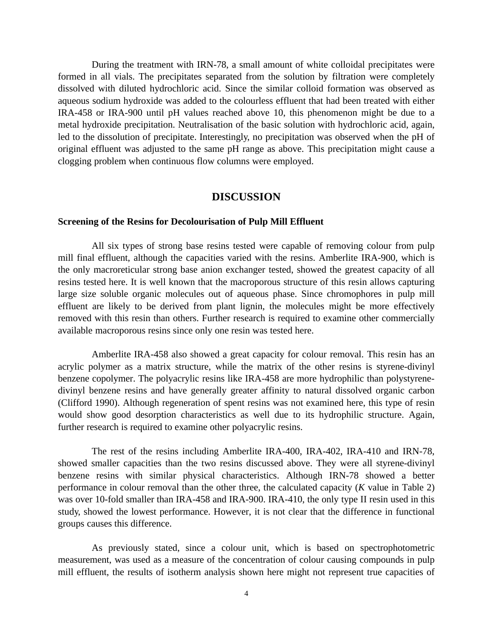During the treatment with IRN-78, a small amount of white colloidal precipitates were formed in all vials. The precipitates separated from the solution by filtration were completely dissolved with diluted hydrochloric acid. Since the similar colloid formation was observed as aqueous sodium hydroxide was added to the colourless effluent that had been treated with either IRA-458 or IRA-900 until pH values reached above 10, this phenomenon might be due to a metal hydroxide precipitation. Neutralisation of the basic solution with hydrochloric acid, again, led to the dissolution of precipitate. Interestingly, no precipitation was observed when the pH of original effluent was adjusted to the same pH range as above. This precipitation might cause a clogging problem when continuous flow columns were employed.

#### **DISCUSSION**

#### **Screening of the Resins for Decolourisation of Pulp Mill Effluent**

All six types of strong base resins tested were capable of removing colour from pulp mill final effluent, although the capacities varied with the resins. Amberlite IRA-900, which is the only macroreticular strong base anion exchanger tested, showed the greatest capacity of all resins tested here. It is well known that the macroporous structure of this resin allows capturing large size soluble organic molecules out of aqueous phase. Since chromophores in pulp mill effluent are likely to be derived from plant lignin, the molecules might be more effectively removed with this resin than others. Further research is required to examine other commercially available macroporous resins since only one resin was tested here.

Amberlite IRA-458 also showed a great capacity for colour removal. This resin has an acrylic polymer as a matrix structure, while the matrix of the other resins is styrene-divinyl benzene copolymer. The polyacrylic resins like IRA-458 are more hydrophilic than polystyrenedivinyl benzene resins and have generally greater affinity to natural dissolved organic carbon (Clifford 1990). Although regeneration of spent resins was not examined here, this type of resin would show good desorption characteristics as well due to its hydrophilic structure. Again, further research is required to examine other polyacrylic resins.

The rest of the resins including Amberlite IRA-400, IRA-402, IRA-410 and IRN-78, showed smaller capacities than the two resins discussed above. They were all styrene-divinyl benzene resins with similar physical characteristics. Although IRN-78 showed a better performance in colour removal than the other three, the calculated capacity (*K* value in Table 2) was over 10-fold smaller than IRA-458 and IRA-900. IRA-410, the only type II resin used in this study, showed the lowest performance. However, it is not clear that the difference in functional groups causes this difference.

As previously stated, since a colour unit, which is based on spectrophotometric measurement, was used as a measure of the concentration of colour causing compounds in pulp mill effluent, the results of isotherm analysis shown here might not represent true capacities of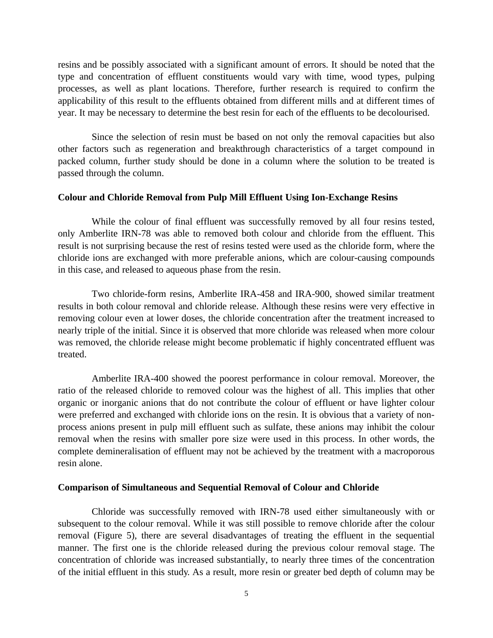resins and be possibly associated with a significant amount of errors. It should be noted that the type and concentration of effluent constituents would vary with time, wood types, pulping processes, as well as plant locations. Therefore, further research is required to confirm the applicability of this result to the effluents obtained from different mills and at different times of year. It may be necessary to determine the best resin for each of the effluents to be decolourised.

Since the selection of resin must be based on not only the removal capacities but also other factors such as regeneration and breakthrough characteristics of a target compound in packed column, further study should be done in a column where the solution to be treated is passed through the column.

#### **Colour and Chloride Removal from Pulp Mill Effluent Using Ion-Exchange Resins**

While the colour of final effluent was successfully removed by all four resins tested, only Amberlite IRN-78 was able to removed both colour and chloride from the effluent. This result is not surprising because the rest of resins tested were used as the chloride form, where the chloride ions are exchanged with more preferable anions, which are colour-causing compounds in this case, and released to aqueous phase from the resin.

Two chloride-form resins, Amberlite IRA-458 and IRA-900, showed similar treatment results in both colour removal and chloride release. Although these resins were very effective in removing colour even at lower doses, the chloride concentration after the treatment increased to nearly triple of the initial. Since it is observed that more chloride was released when more colour was removed, the chloride release might become problematic if highly concentrated effluent was treated.

Amberlite IRA-400 showed the poorest performance in colour removal. Moreover, the ratio of the released chloride to removed colour was the highest of all. This implies that other organic or inorganic anions that do not contribute the colour of effluent or have lighter colour were preferred and exchanged with chloride ions on the resin. It is obvious that a variety of nonprocess anions present in pulp mill effluent such as sulfate, these anions may inhibit the colour removal when the resins with smaller pore size were used in this process. In other words, the complete demineralisation of effluent may not be achieved by the treatment with a macroporous resin alone.

#### **Comparison of Simultaneous and Sequential Removal of Colour and Chloride**

Chloride was successfully removed with IRN-78 used either simultaneously with or subsequent to the colour removal. While it was still possible to remove chloride after the colour removal (Figure 5), there are several disadvantages of treating the effluent in the sequential manner. The first one is the chloride released during the previous colour removal stage. The concentration of chloride was increased substantially, to nearly three times of the concentration of the initial effluent in this study. As a result, more resin or greater bed depth of column may be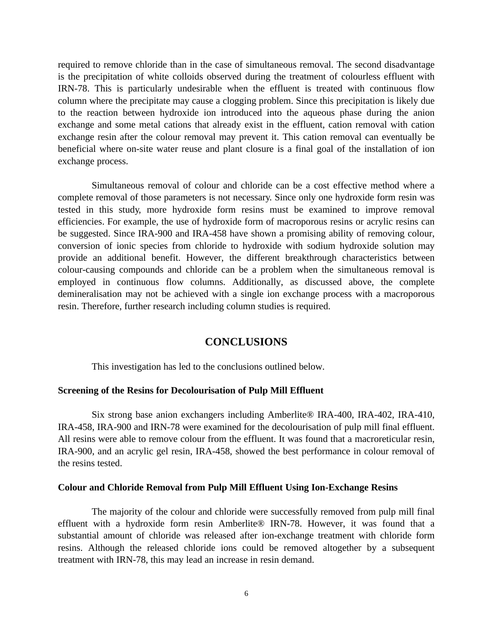required to remove chloride than in the case of simultaneous removal. The second disadvantage is the precipitation of white colloids observed during the treatment of colourless effluent with IRN-78. This is particularly undesirable when the effluent is treated with continuous flow column where the precipitate may cause a clogging problem. Since this precipitation is likely due to the reaction between hydroxide ion introduced into the aqueous phase during the anion exchange and some metal cations that already exist in the effluent, cation removal with cation exchange resin after the colour removal may prevent it. This cation removal can eventually be beneficial where on-site water reuse and plant closure is a final goal of the installation of ion exchange process.

Simultaneous removal of colour and chloride can be a cost effective method where a complete removal of those parameters is not necessary. Since only one hydroxide form resin was tested in this study, more hydroxide form resins must be examined to improve removal efficiencies. For example, the use of hydroxide form of macroporous resins or acrylic resins can be suggested. Since IRA-900 and IRA-458 have shown a promising ability of removing colour, conversion of ionic species from chloride to hydroxide with sodium hydroxide solution may provide an additional benefit. However, the different breakthrough characteristics between colour-causing compounds and chloride can be a problem when the simultaneous removal is employed in continuous flow columns. Additionally, as discussed above, the complete demineralisation may not be achieved with a single ion exchange process with a macroporous resin. Therefore, further research including column studies is required.

#### **CONCLUSIONS**

This investigation has led to the conclusions outlined below.

#### **Screening of the Resins for Decolourisation of Pulp Mill Effluent**

Six strong base anion exchangers including Amberlite® IRA-400, IRA-402, IRA-410, IRA-458, IRA-900 and IRN-78 were examined for the decolourisation of pulp mill final effluent. All resins were able to remove colour from the effluent. It was found that a macroreticular resin, IRA-900, and an acrylic gel resin, IRA-458, showed the best performance in colour removal of the resins tested.

#### **Colour and Chloride Removal from Pulp Mill Effluent Using Ion-Exchange Resins**

The majority of the colour and chloride were successfully removed from pulp mill final effluent with a hydroxide form resin Amberlite® IRN-78. However, it was found that a substantial amount of chloride was released after ion-exchange treatment with chloride form resins. Although the released chloride ions could be removed altogether by a subsequent treatment with IRN-78, this may lead an increase in resin demand.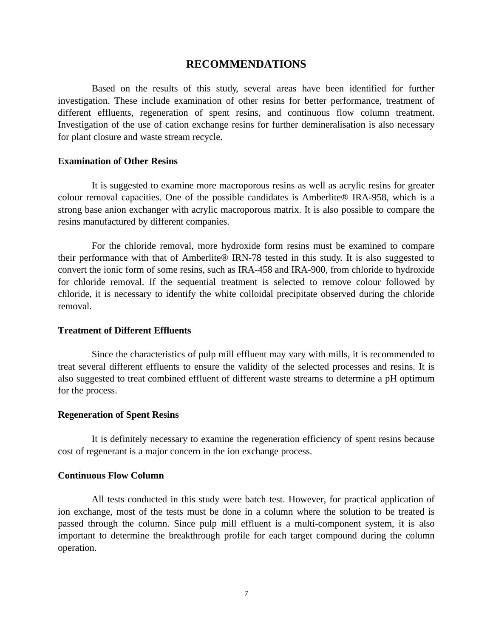#### **RECOMMENDATIONS**

Based on the results of this study, several areas have been identified for further investigation. These include examination of other resins for better performance, treatment of different effluents, regeneration of spent resins, and continuous flow column treatment. Investigation of the use of cation exchange resins for further demineralisation is also necessary for plant closure and waste stream recycle.

#### **Examination of Other Resins**

It is suggested to examine more macroporous resins as well as acrylic resins for greater colour removal capacities. One of the possible candidates is Amberlite® IRA-958, which is a strong base anion exchanger with acrylic macroporous matrix. It is also possible to compare the resins manufactured by different companies.

For the chloride removal, more hydroxide form resins must be examined to compare their performance with that of Amberlite® IRN-78 tested in this study. It is also suggested to convert the ionic form of some resins, such as IRA-458 and IRA-900, from chloride to hydroxide for chloride removal. If the sequential treatment is selected to remove colour followed by chloride, it is necessary to identify the white colloidal precipitate observed during the chloride removal.

#### **Treatment of Different Effluents**

Since the characteristics of pulp mill effluent may vary with mills, it is recommended to treat several different effluents to ensure the validity of the selected processes and resins. It is also suggested to treat combined effluent of different waste streams to determine a pH optimum for the process.

#### **Regeneration of Spent Resins**

It is definitely necessary to examine the regeneration efficiency of spent resins because cost of regenerant is a major concern in the ion exchange process.

#### **Continuous Flow Column**

All tests conducted in this study were batch test. However, for practical application of ion exchange, most of the tests must be done in a column where the solution to be treated is passed through the column. Since pulp mill effluent is a multi-component system, it is also important to determine the breakthrough profile for each target compound during the column operation.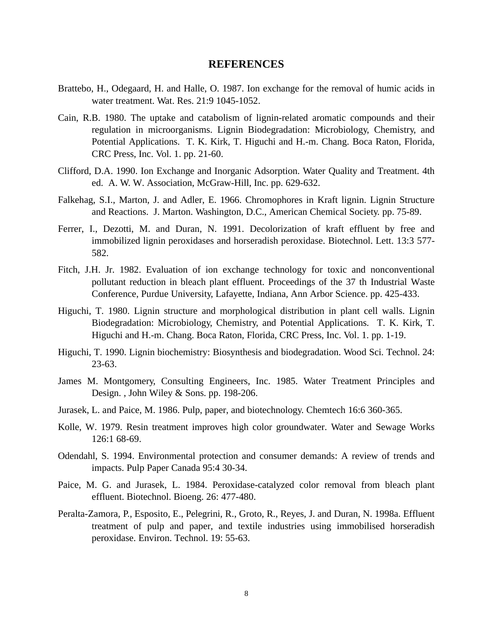#### **REFERENCES**

- Brattebo, H., Odegaard, H. and Halle, O. 1987. Ion exchange for the removal of humic acids in water treatment. Wat. Res. 21:9 1045-1052.
- Cain, R.B. 1980. The uptake and catabolism of lignin-related aromatic compounds and their regulation in microorganisms. Lignin Biodegradation: Microbiology, Chemistry, and Potential Applications. T. K. Kirk, T. Higuchi and H.-m. Chang. Boca Raton, Florida, CRC Press, Inc. Vol. 1. pp. 21-60.
- Clifford, D.A. 1990. Ion Exchange and Inorganic Adsorption. Water Quality and Treatment. 4th ed. A. W. W. Association, McGraw-Hill, Inc. pp. 629-632.
- Falkehag, S.I., Marton, J. and Adler, E. 1966. Chromophores in Kraft lignin. Lignin Structure and Reactions. J. Marton. Washington, D.C., American Chemical Society. pp. 75-89.
- Ferrer, I., Dezotti, M. and Duran, N. 1991. Decolorization of kraft effluent by free and immobilized lignin peroxidases and horseradish peroxidase. Biotechnol. Lett. 13:3 577- 582.
- Fitch, J.H. Jr. 1982. Evaluation of ion exchange technology for toxic and nonconventional pollutant reduction in bleach plant effluent. Proceedings of the 37 th Industrial Waste Conference, Purdue University, Lafayette, Indiana, Ann Arbor Science. pp. 425-433.
- Higuchi, T. 1980. Lignin structure and morphological distribution in plant cell walls. Lignin Biodegradation: Microbiology, Chemistry, and Potential Applications. T. K. Kirk, T. Higuchi and H.-m. Chang. Boca Raton, Florida, CRC Press, Inc. Vol. 1. pp. 1-19.
- Higuchi, T. 1990. Lignin biochemistry: Biosynthesis and biodegradation. Wood Sci. Technol. 24: 23-63.
- James M. Montgomery, Consulting Engineers, Inc. 1985. Water Treatment Principles and Design. , John Wiley & Sons. pp. 198-206.
- Jurasek, L. and Paice, M. 1986. Pulp, paper, and biotechnology. Chemtech 16:6 360-365.
- Kolle, W. 1979. Resin treatment improves high color groundwater. Water and Sewage Works 126:1 68-69.
- Odendahl, S. 1994. Environmental protection and consumer demands: A review of trends and impacts. Pulp Paper Canada 95:4 30-34.
- Paice, M. G. and Jurasek, L. 1984. Peroxidase-catalyzed color removal from bleach plant effluent. Biotechnol. Bioeng. 26: 477-480.
- Peralta-Zamora, P., Esposito, E., Pelegrini, R., Groto, R., Reyes, J. and Duran, N. 1998a. Effluent treatment of pulp and paper, and textile industries using immobilised horseradish peroxidase. Environ. Technol. 19: 55-63.